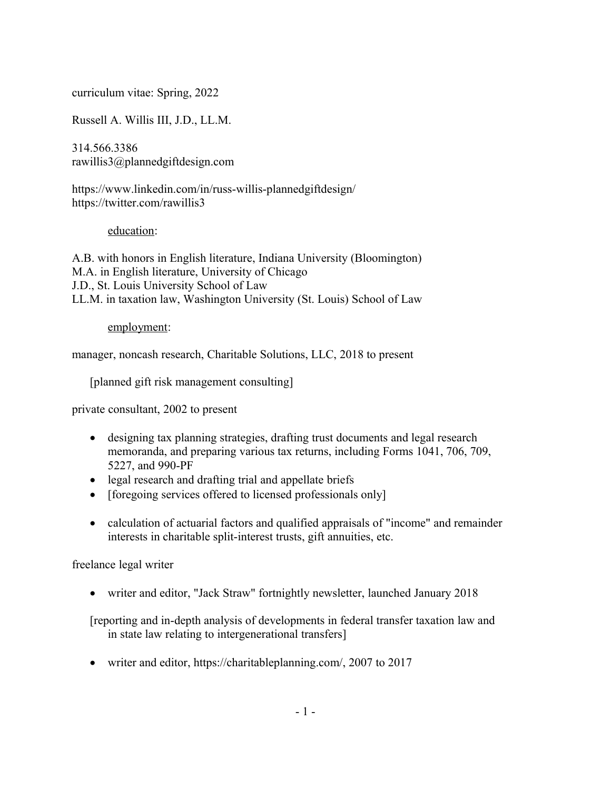curriculum vitae: Spring, 2022

Russell A. Willis III, J.D., LL.M.

314.566.3386 rawillis3@plannedgiftdesign.com

https://www.linkedin.com/in/russ-willis-plannedgiftdesign/ https://twitter.com/rawillis3

## education:

A.B. with honors in English literature, Indiana University (Bloomington) M.A. in English literature, University of Chicago J.D., St. Louis University School of Law LL.M. in taxation law, Washington University (St. Louis) School of Law

## employment:

manager, noncash research, Charitable Solutions, LLC, 2018 to present

[planned gift risk management consulting]

private consultant, 2002 to present

- designing tax planning strategies, drafting trust documents and legal research memoranda, and preparing various tax returns, including Forms 1041, 706, 709, 5227, and 990-PF
- legal research and drafting trial and appellate briefs
- [foregoing services offered to licensed professionals only]
- calculation of actuarial factors and qualified appraisals of "income" and remainder interests in charitable split-interest trusts, gift annuities, etc.

freelance legal writer

writer and editor, "Jack Straw" fortnightly newsletter, launched January 2018

[reporting and in-depth analysis of developments in federal transfer taxation law and in state law relating to intergenerational transfers]

writer and editor, https://charitableplanning.com/, 2007 to 2017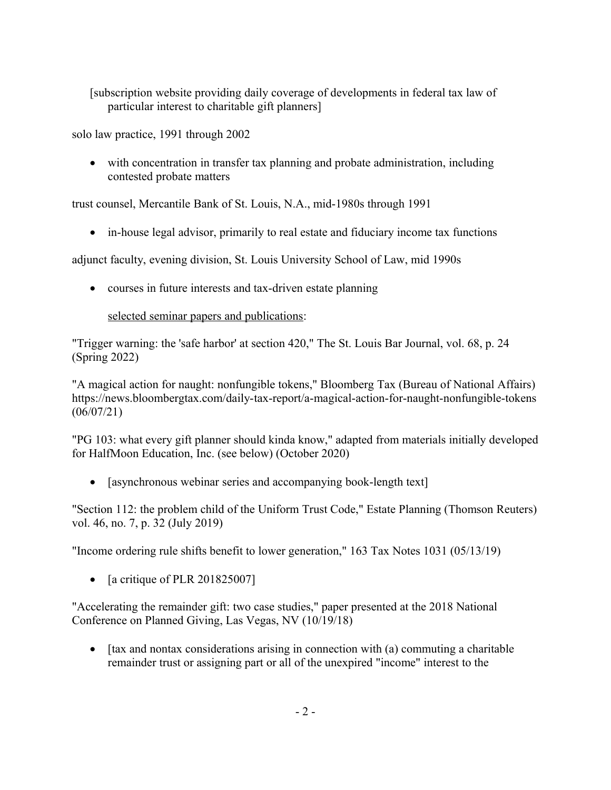[subscription website providing daily coverage of developments in federal tax law of particular interest to charitable gift planners]

solo law practice, 1991 through 2002

 with concentration in transfer tax planning and probate administration, including contested probate matters

trust counsel, Mercantile Bank of St. Louis, N.A., mid-1980s through 1991

in-house legal advisor, primarily to real estate and fiduciary income tax functions

adjunct faculty, evening division, St. Louis University School of Law, mid 1990s

• courses in future interests and tax-driven estate planning

# selected seminar papers and publications:

"Trigger warning: the 'safe harbor' at section 420," The St. Louis Bar Journal, vol. 68, p. 24 (Spring 2022)

"A magical action for naught: nonfungible tokens," Bloomberg Tax (Bureau of National Affairs) https://news.bloombergtax.com/daily-tax-report/a-magical-action-for-naught-nonfungible-tokens (06/07/21)

"PG 103: what every gift planner should kinda know," adapted from materials initially developed for HalfMoon Education, Inc. (see below) (October 2020)

• [asynchronous webinar series and accompanying book-length text]

"Section 112: the problem child of the Uniform Trust Code," Estate Planning (Thomson Reuters) vol. 46, no. 7, p. 32 (July 2019)

"Income ordering rule shifts benefit to lower generation," 163 Tax Notes 1031 (05/13/19)

• [a critique of PLR 201825007]

"Accelerating the remainder gift: two case studies," paper presented at the 2018 National Conference on Planned Giving, Las Vegas, NV (10/19/18)

 $\bullet$  [tax and nontax considerations arising in connection with (a) commuting a charitable remainder trust or assigning part or all of the unexpired "income" interest to the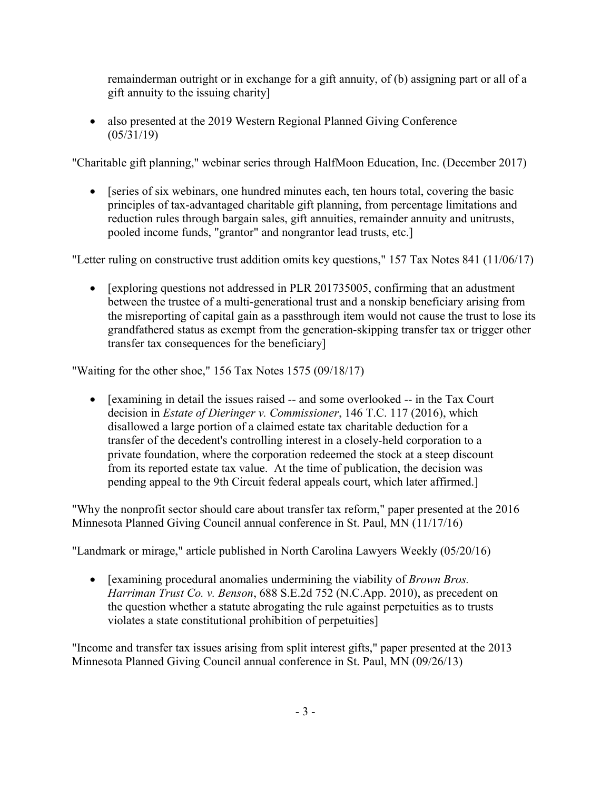remainderman outright or in exchange for a gift annuity, of (b) assigning part or all of a gift annuity to the issuing charity]

• also presented at the 2019 Western Regional Planned Giving Conference (05/31/19)

"Charitable gift planning," webinar series through HalfMoon Education, Inc. (December 2017)

• [series of six webinars, one hundred minutes each, ten hours total, covering the basic principles of tax-advantaged charitable gift planning, from percentage limitations and reduction rules through bargain sales, gift annuities, remainder annuity and unitrusts, pooled income funds, "grantor" and nongrantor lead trusts, etc.]

"Letter ruling on constructive trust addition omits key questions," 157 Tax Notes 841 (11/06/17)

• [exploring questions not addressed in PLR 201735005, confirming that an adustment between the trustee of a multi-generational trust and a nonskip beneficiary arising from the misreporting of capital gain as a passthrough item would not cause the trust to lose its grandfathered status as exempt from the generation-skipping transfer tax or trigger other transfer tax consequences for the beneficiary]

"Waiting for the other shoe," 156 Tax Notes 1575 (09/18/17)

• [examining in detail the issues raised -- and some overlooked -- in the Tax Court decision in *Estate of Dieringer v. Commissioner*, 146 T.C. 117 (2016), which disallowed a large portion of a claimed estate tax charitable deduction for a transfer of the decedent's controlling interest in a closely-held corporation to a private foundation, where the corporation redeemed the stock at a steep discount from its reported estate tax value. At the time of publication, the decision was pending appeal to the 9th Circuit federal appeals court, which later affirmed.]

"Why the nonprofit sector should care about transfer tax reform," paper presented at the 2016 Minnesota Planned Giving Council annual conference in St. Paul, MN (11/17/16)

"Landmark or mirage," article published in North Carolina Lawyers Weekly (05/20/16)

 [examining procedural anomalies undermining the viability of *Brown Bros. Harriman Trust Co. v. Benson*, 688 S.E.2d 752 (N.C.App. 2010), as precedent on the question whether a statute abrogating the rule against perpetuities as to trusts violates a state constitutional prohibition of perpetuities]

"Income and transfer tax issues arising from split interest gifts," paper presented at the 2013 Minnesota Planned Giving Council annual conference in St. Paul, MN (09/26/13)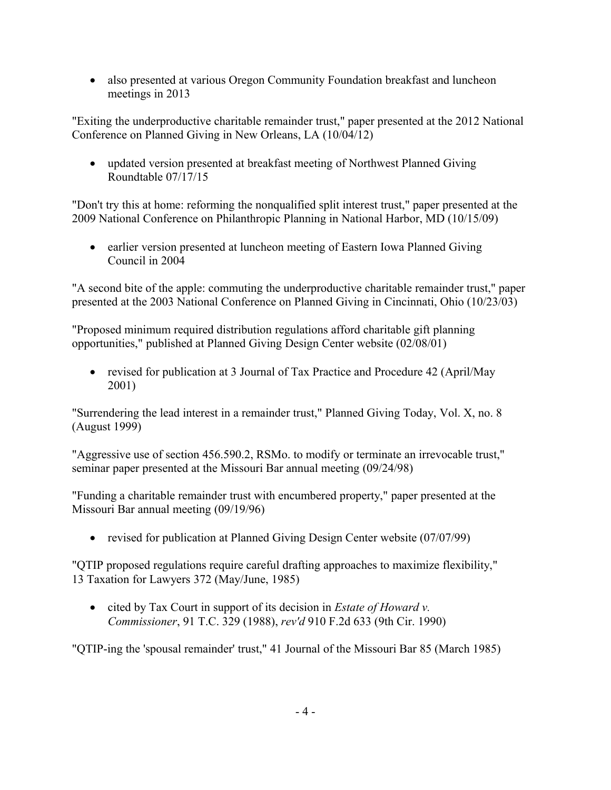• also presented at various Oregon Community Foundation breakfast and luncheon meetings in 2013

"Exiting the underproductive charitable remainder trust," paper presented at the 2012 National Conference on Planned Giving in New Orleans, LA (10/04/12)

 updated version presented at breakfast meeting of Northwest Planned Giving Roundtable 07/17/15

"Don't try this at home: reforming the nonqualified split interest trust," paper presented at the 2009 National Conference on Philanthropic Planning in National Harbor, MD (10/15/09)

• earlier version presented at luncheon meeting of Eastern Iowa Planned Giving Council in 2004

"A second bite of the apple: commuting the underproductive charitable remainder trust," paper presented at the 2003 National Conference on Planned Giving in Cincinnati, Ohio (10/23/03)

"Proposed minimum required distribution regulations afford charitable gift planning opportunities," published at Planned Giving Design Center website (02/08/01)

• revised for publication at 3 Journal of Tax Practice and Procedure 42 (April/May 2001)

"Surrendering the lead interest in a remainder trust," Planned Giving Today, Vol. X, no. 8 (August 1999)

"Aggressive use of section 456.590.2, RSMo. to modify or terminate an irrevocable trust," seminar paper presented at the Missouri Bar annual meeting (09/24/98)

"Funding a charitable remainder trust with encumbered property," paper presented at the Missouri Bar annual meeting (09/19/96)

• revised for publication at Planned Giving Design Center website (07/07/99)

"QTIP proposed regulations require careful drafting approaches to maximize flexibility," 13 Taxation for Lawyers 372 (May/June, 1985)

 cited by Tax Court in support of its decision in *Estate of Howard v. Commissioner*, 91 T.C. 329 (1988), *rev'd* 910 F.2d 633 (9th Cir. 1990)

"QTIP-ing the 'spousal remainder' trust," 41 Journal of the Missouri Bar 85 (March 1985)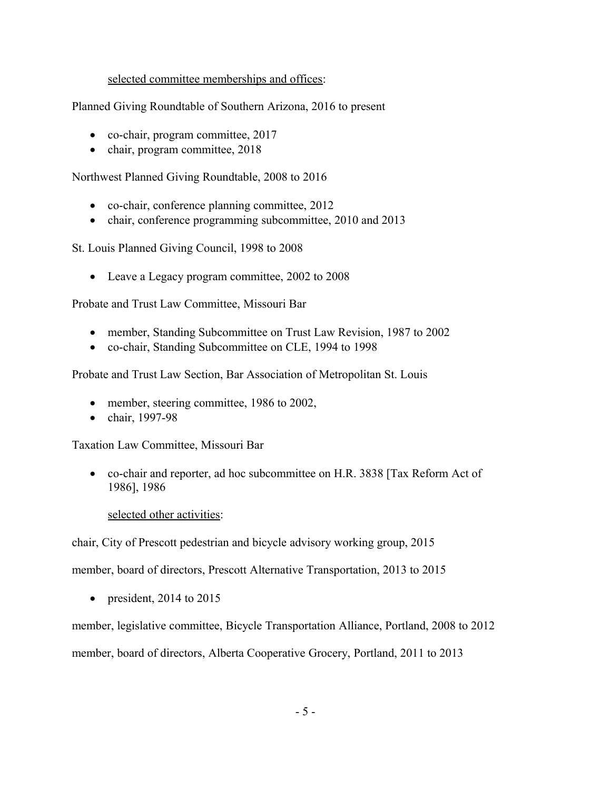## selected committee memberships and offices:

Planned Giving Roundtable of Southern Arizona, 2016 to present

- co-chair, program committee, 2017
- chair, program committee, 2018

Northwest Planned Giving Roundtable, 2008 to 2016

- co-chair, conference planning committee, 2012
- chair, conference programming subcommittee, 2010 and 2013

St. Louis Planned Giving Council, 1998 to 2008

• Leave a Legacy program committee, 2002 to 2008

Probate and Trust Law Committee, Missouri Bar

- member, Standing Subcommittee on Trust Law Revision, 1987 to 2002
- co-chair, Standing Subcommittee on CLE, 1994 to 1998

Probate and Trust Law Section, Bar Association of Metropolitan St. Louis

- member, steering committee, 1986 to 2002,
- $\bullet$  chair, 1997-98

Taxation Law Committee, Missouri Bar

 co-chair and reporter, ad hoc subcommittee on H.R. 3838 [Tax Reform Act of 1986], 1986

#### selected other activities:

chair, City of Prescott pedestrian and bicycle advisory working group, 2015

member, board of directors, Prescott Alternative Transportation, 2013 to 2015

• president, 2014 to 2015

member, legislative committee, Bicycle Transportation Alliance, Portland, 2008 to 2012

member, board of directors, Alberta Cooperative Grocery, Portland, 2011 to 2013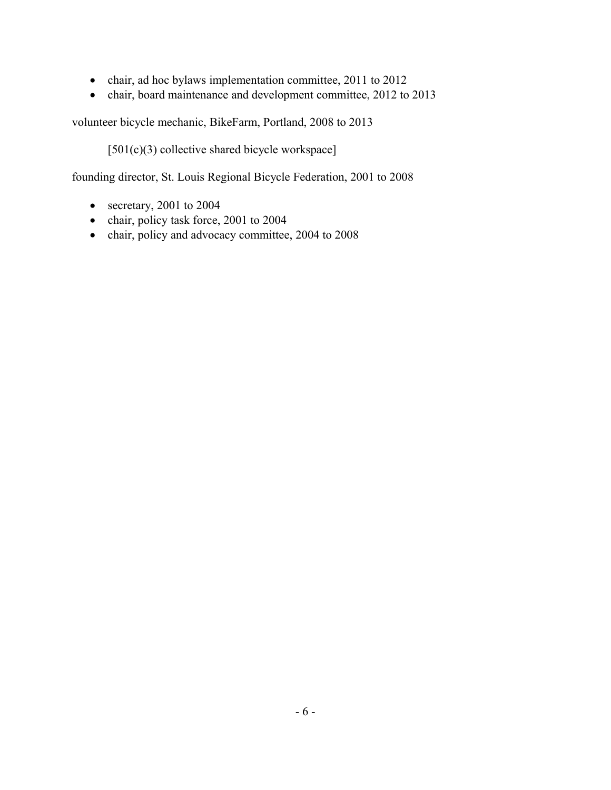- chair, ad hoc bylaws implementation committee, 2011 to 2012
- chair, board maintenance and development committee, 2012 to 2013

volunteer bicycle mechanic, BikeFarm, Portland, 2008 to 2013

[501(c)(3) collective shared bicycle workspace]

founding director, St. Louis Regional Bicycle Federation, 2001 to 2008

- secretary, 2001 to 2004
- chair, policy task force, 2001 to 2004
- chair, policy and advocacy committee, 2004 to 2008